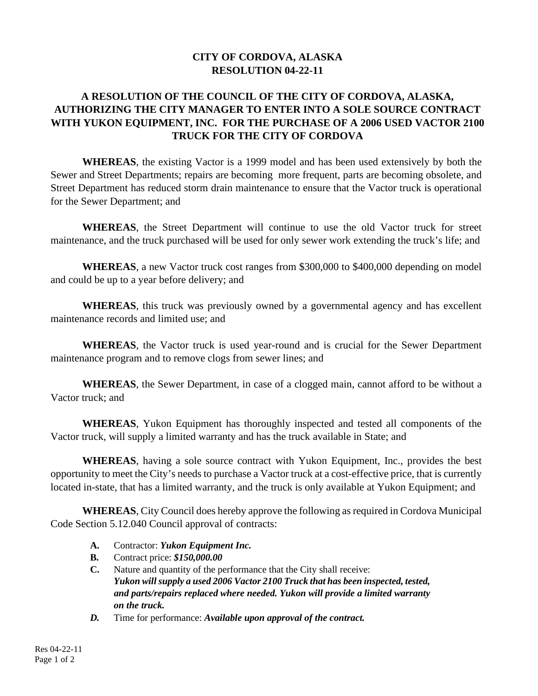## **CITY OF CORDOVA, ALASKA RESOLUTION 04-22-11**

## **A RESOLUTION OF THE COUNCIL OF THE CITY OF CORDOVA, ALASKA, AUTHORIZING THE CITY MANAGER TO ENTER INTO A SOLE SOURCE CONTRACT WITH YUKON EQUIPMENT, INC. FOR THE PURCHASE OF A 2006 USED VACTOR 2100 TRUCK FOR THE CITY OF CORDOVA**

**WHEREAS**, the existing Vactor is a 1999 model and has been used extensively by both the Sewer and Street Departments; repairs are becoming more frequent, parts are becoming obsolete, and Street Department has reduced storm drain maintenance to ensure that the Vactor truck is operational for the Sewer Department; and

**WHEREAS**, the Street Department will continue to use the old Vactor truck for street maintenance, and the truck purchased will be used for only sewer work extending the truck's life; and

**WHEREAS**, a new Vactor truck cost ranges from \$300,000 to \$400,000 depending on model and could be up to a year before delivery; and

**WHEREAS**, this truck was previously owned by a governmental agency and has excellent maintenance records and limited use; and

**WHEREAS**, the Vactor truck is used year-round and is crucial for the Sewer Department maintenance program and to remove clogs from sewer lines; and

**WHEREAS**, the Sewer Department, in case of a clogged main, cannot afford to be without a Vactor truck; and

**WHEREAS**, Yukon Equipment has thoroughly inspected and tested all components of the Vactor truck, will supply a limited warranty and has the truck available in State; and

**WHEREAS**, having a sole source contract with Yukon Equipment, Inc., provides the best opportunity to meet the City's needs to purchase a Vactor truck at a cost-effective price, that is currently located in-state, that has a limited warranty, and the truck is only available at Yukon Equipment; and

**WHEREAS**, City Council does hereby approve the following as required in Cordova Municipal Code Section 5.12.040 Council approval of contracts:

- **A.** Contractor: *Yukon Equipment Inc.*
- **B.** Contract price: *\$150,000.00*
- **C.** Nature and quantity of the performance that the City shall receive: *Yukon will supply a used 2006 Vactor 2100 Truck that has been inspected, tested, and parts/repairs replaced where needed. Yukon will provide a limited warranty on the truck.*
- *D.* Time for performance: *Available upon approval of the contract.*